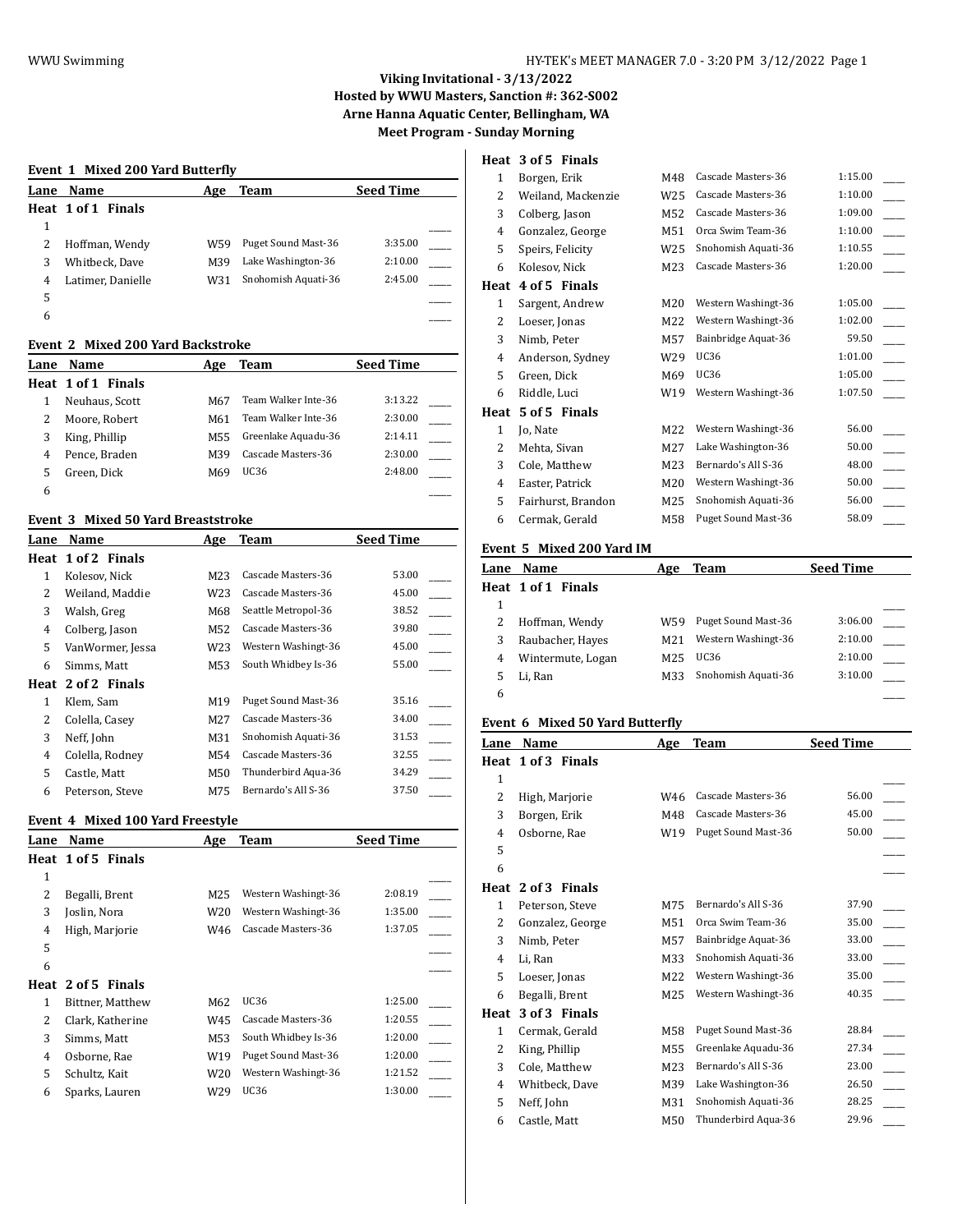# **Viking Invitational - 3/13/2022 Hosted by WWU Masters, Sanction #: 362-S002 Arne Hanna Aquatic Center, Bellingham, WA**

**Meet Program - Sunday Morning**

#### **Event 1 Mixed 200 Yard Butterfly**

|   | Lane Name          | Age | <b>Team</b>         | <b>Seed Time</b> |
|---|--------------------|-----|---------------------|------------------|
|   | Heat 1 of 1 Finals |     |                     |                  |
| 1 |                    |     |                     |                  |
|   | Hoffman, Wendy     | W59 | Puget Sound Mast-36 | 3:35.00          |
|   | Whitbeck, Dave     | M39 | Lake Washington-36  | 2:10.00          |
| 4 | Latimer, Danielle  | W31 | Snohomish Aquati-36 | 2:45.00          |
| 5 |                    |     |                     |                  |
| 6 |                    |     |                     |                  |

#### **Event 2 Mixed 200 Yard Backstroke**

| Lane | <b>Name</b>        | Age | Team                | <b>Seed Time</b> |  |
|------|--------------------|-----|---------------------|------------------|--|
|      | Heat 1 of 1 Finals |     |                     |                  |  |
|      | Neuhaus, Scott     | M67 | Team Walker Inte-36 | 3:13.22          |  |
| 2    | Moore, Robert      | M61 | Team Walker Inte-36 | 2:30.00          |  |
| 3    | King, Phillip      | M55 | Greenlake Aquadu-36 | 2:14.11          |  |
| 4    | Pence, Braden      | M39 | Cascade Masters-36  | 2:30.00          |  |
| 5    | Green, Dick        | M69 | UC36                | 2:48.00          |  |
| 6    |                    |     |                     |                  |  |

#### **Event 3 Mixed 50 Yard Breaststroke**

| Lane | Name               | Age | Team                | <b>Seed Time</b> |
|------|--------------------|-----|---------------------|------------------|
|      | Heat 1 of 2 Finals |     |                     |                  |
| 1    | Kolesov, Nick      | M23 | Cascade Masters-36  | 53.00            |
| 2    | Weiland, Maddie    | W23 | Cascade Masters-36  | 45.00            |
| 3    | Walsh, Greg        | M68 | Seattle Metropol-36 | 38.52            |
| 4    | Colberg, Jason     | M52 | Cascade Masters-36  | 39.80            |
| 5    | VanWormer, Jessa   | W23 | Western Washingt-36 | 45.00            |
| 6    | Simms, Matt        | M53 | South Whidbey Is-36 | 55.00            |
| Heat | 2 of 2 Finals      |     |                     |                  |
| 1    | Klem, Sam          | M19 | Puget Sound Mast-36 | 35.16            |
| 2    | Colella, Casey     | M27 | Cascade Masters-36  | 34.00            |
| 3    | Neff, John         | M31 | Snohomish Aquati-36 | 31.53            |
| 4    | Colella, Rodney    | M54 | Cascade Masters-36  | 32.55            |
| 5    | Castle, Matt       | M50 | Thunderbird Aqua-36 | 34.29            |
| 6    | Peterson, Steve    | M75 | Bernardo's All S-36 | 37.50            |

#### **Event 4 Mixed 100 Yard Freestyle**

| Lane         | Name               | Age             | Team                | <b>Seed Time</b> |  |
|--------------|--------------------|-----------------|---------------------|------------------|--|
|              | Heat 1 of 5 Finals |                 |                     |                  |  |
| $\mathbf{1}$ |                    |                 |                     |                  |  |
| 2            | Begalli, Brent     | M25             | Western Washingt-36 | 2:08.19          |  |
| 3            | Joslin, Nora       | W20             | Western Washingt-36 | 1:35.00          |  |
| 4            | High, Marjorie     | W46             | Cascade Masters-36  | 1:37.05          |  |
| 5            |                    |                 |                     |                  |  |
| 6            |                    |                 |                     |                  |  |
|              | Heat 2 of 5 Finals |                 |                     |                  |  |
| 1            | Bittner, Matthew   | M62             | UC36                | 1:25.00          |  |
| 2            | Clark, Katherine   | W45             | Cascade Masters-36  | 1:20.55          |  |
| 3            | Simms, Matt        | M53             | South Whidbey Is-36 | 1:20.00          |  |
| 4            | Osborne, Rae       | W <sub>19</sub> | Puget Sound Mast-36 | 1:20.00          |  |
| 5            | Schultz, Kait      | W20             | Western Washingt-36 | 1:21.52          |  |
| 6            | Sparks, Lauren     | W29             | UC36                | 1:30.00          |  |
|              |                    |                 |                     |                  |  |

## **Heat 3 of 5 Finals**

| 1    | Borgen, Erik       | M48 | Cascade Masters-36  | 1:15.00 |
|------|--------------------|-----|---------------------|---------|
| 2    | Weiland, Mackenzie | W25 | Cascade Masters-36  | 1:10.00 |
| 3    | Colberg, Jason     | M52 | Cascade Masters-36  | 1:09.00 |
| 4    | Gonzalez, George   | M51 | Orca Swim Team-36   | 1:10.00 |
| 5    | Speirs, Felicity   | W25 | Snohomish Aquati-36 | 1:10.55 |
| 6    | Kolesov, Nick      | M23 | Cascade Masters-36  | 1:20.00 |
| Heat | 4 of 5 Finals      |     |                     |         |
| 1    | Sargent, Andrew    | M20 | Western Washingt-36 | 1:05.00 |
| 2    | Loeser, Jonas      | M22 | Western Washingt-36 | 1:02.00 |
| 3    | Nimb, Peter        | M57 | Bainbridge Aquat-36 | 59.50   |
| 4    | Anderson, Sydney   | W29 | <b>UC36</b>         | 1:01.00 |
| 5    | Green, Dick        | M69 | <b>UC36</b>         | 1:05.00 |
| 6    | Riddle, Luci       | W19 | Western Washingt-36 | 1:07.50 |
| Heat | 5 of 5 Finals      |     |                     |         |
| 1    | Jo, Nate           | M22 | Western Washingt-36 | 56.00   |
| 2    | Mehta, Sivan       | M27 | Lake Washington-36  | 50.00   |
| 3    | Cole, Matthew      | M23 | Bernardo's All S-36 | 48.00   |
| 4    | Easter, Patrick    | M20 | Western Washingt-36 | 50.00   |
| 5    | Fairhurst, Brandon | M25 | Snohomish Aquati-36 | 56.00   |
| 6    | Cermak, Gerald     | M58 | Puget Sound Mast-36 | 58.09   |
|      |                    |     |                     |         |

#### **Event 5 Mixed 200 Yard IM**

| Lane | Name               | Age             | Team                | <b>Seed Time</b> |  |
|------|--------------------|-----------------|---------------------|------------------|--|
|      | Heat 1 of 1 Finals |                 |                     |                  |  |
|      |                    |                 |                     |                  |  |
|      | Hoffman, Wendy     | W59             | Puget Sound Mast-36 | 3:06.00          |  |
|      | Raubacher, Hayes   | M <sub>21</sub> | Western Washingt-36 | 2:10.00          |  |
| 4    | Wintermute, Logan  | M25             | UC36                | 2:10.00          |  |
|      | Li, Ran            | M33             | Snohomish Aquati-36 | 3:10.00          |  |
| 6    |                    |                 |                     |                  |  |

### **Event 6 Mixed 50 Yard Butterfly**

| Lane           | Name             | Age | Team                | <b>Seed Time</b> |  |
|----------------|------------------|-----|---------------------|------------------|--|
| Heat           | 1 of 3 Finals    |     |                     |                  |  |
| 1              |                  |     |                     |                  |  |
| $\overline{c}$ | High, Marjorie   | W46 | Cascade Masters-36  | 56.00            |  |
| 3              | Borgen, Erik     | M48 | Cascade Masters-36  | 45.00            |  |
| 4              | Osborne, Rae     | W19 | Puget Sound Mast-36 | 50.00            |  |
| 5              |                  |     |                     |                  |  |
| 6              |                  |     |                     |                  |  |
| Heat           | 2 of 3 Finals    |     |                     |                  |  |
| 1              | Peterson, Steve  | M75 | Bernardo's All S-36 | 37.90            |  |
| 2              | Gonzalez, George | M51 | Orca Swim Team-36   | 35.00            |  |
| 3              | Nimb, Peter      | M57 | Bainbridge Aquat-36 | 33.00            |  |
| 4              | Li, Ran          | M33 | Snohomish Aquati-36 | 33.00            |  |
| 5              | Loeser, Jonas    | M22 | Western Washingt-36 | 35.00            |  |
| 6              | Begalli, Brent   | M25 | Western Washingt-36 | 40.35            |  |
| Heat           | 3 of 3 Finals    |     |                     |                  |  |
| $\mathbf{1}$   | Cermak, Gerald   | M58 | Puget Sound Mast-36 | 28.84            |  |
| 2              | King, Phillip    | M55 | Greenlake Aquadu-36 | 27.34            |  |
| 3              | Cole, Matthew    | M23 | Bernardo's All S-36 | 23.00            |  |
| 4              | Whitbeck, Dave   | M39 | Lake Washington-36  | 26.50            |  |
| 5              | Neff, John       | M31 | Snohomish Aquati-36 | 28.25            |  |
| 6              | Castle, Matt     | M50 | Thunderbird Aqua-36 | 29.96            |  |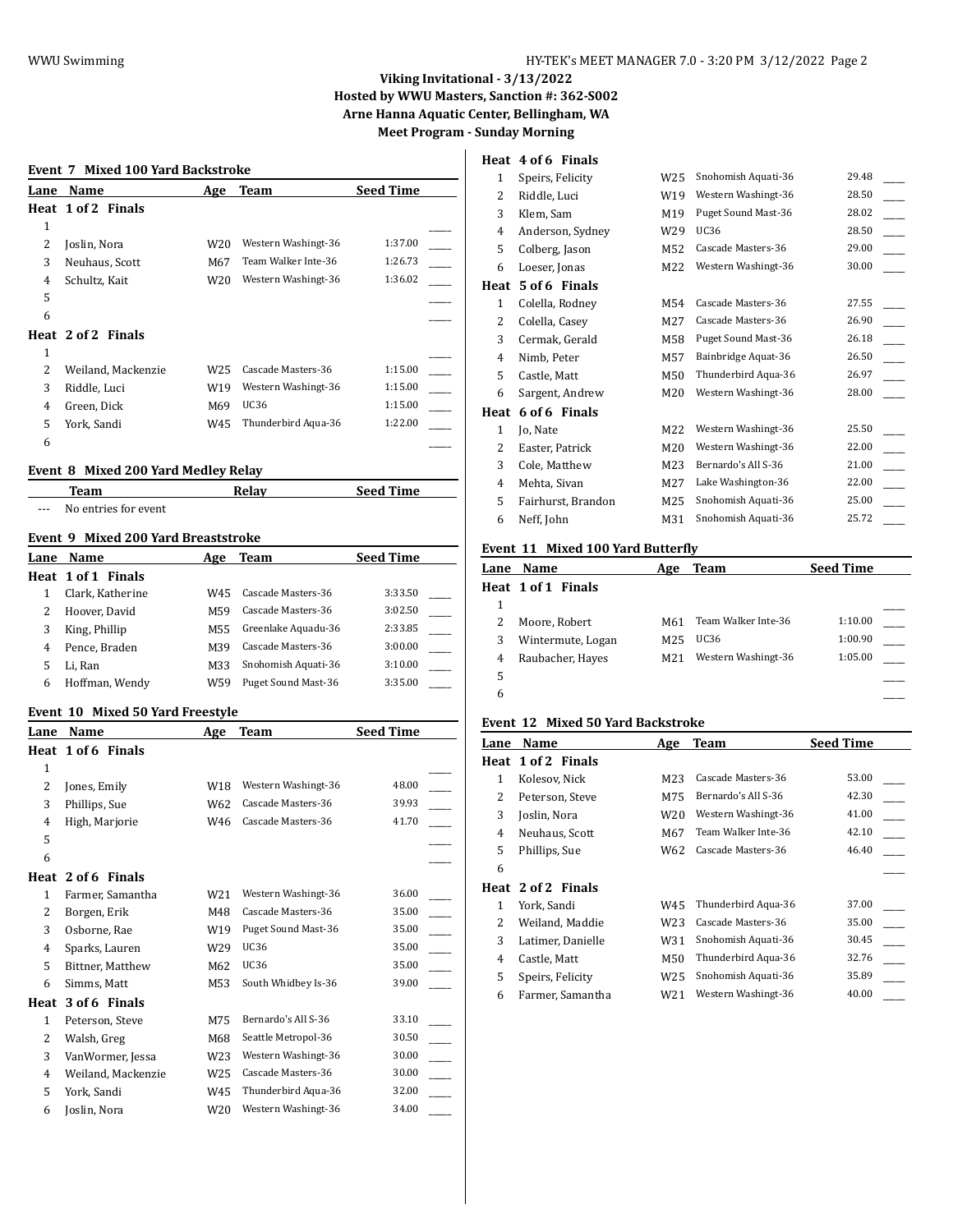### **Viking Invitational - 3/13/2022 Hosted by WWU Masters, Sanction #: 362-S002 Arne Hanna Aquatic Center, Bellingham, WA Meet Program - Sunday Morning**

#### **Event 7 Mixed 100 Yard Backstroke**

| Lane | Name               | Age             | Team                | <b>Seed Time</b> |
|------|--------------------|-----------------|---------------------|------------------|
|      | Heat 1 of 2 Finals |                 |                     |                  |
| 1    |                    |                 |                     |                  |
| 2    | Joslin, Nora       | W20             | Western Washingt-36 | 1:37.00          |
| 3    | Neuhaus, Scott     | M67             | Team Walker Inte-36 | 1:26.73          |
| 4    | Schultz, Kait      | W <sub>20</sub> | Western Washingt-36 | 1:36.02          |
| 5    |                    |                 |                     |                  |
| 6    |                    |                 |                     |                  |
|      | Heat 2 of 2 Finals |                 |                     |                  |
| 1    |                    |                 |                     |                  |
| 2    | Weiland, Mackenzie | W25             | Cascade Masters-36  | 1:15.00          |
| 3    | Riddle, Luci       | W <sub>19</sub> | Western Washingt-36 | 1:15.00          |
| 4    | Green, Dick        | M69             | <b>UC36</b>         | 1:15.00          |
| 5    | York, Sandi        | W45             | Thunderbird Aqua-36 | 1:22.00          |
| 6    |                    |                 |                     |                  |
|      |                    |                 |                     |                  |

#### **Event 8 Mixed 200 Yard Medley Relay**

|       | Team                 | Relav | <b>Seed Time</b> |
|-------|----------------------|-------|------------------|
| $---$ | No entries for event |       |                  |

### **Event 9 Mixed 200 Yard Breaststroke**

| Lane | Name               | Age | Team                | <b>Seed Time</b> |
|------|--------------------|-----|---------------------|------------------|
|      | Heat 1 of 1 Finals |     |                     |                  |
|      | Clark, Katherine   | W45 | Cascade Masters-36  | 3:33.50          |
|      | Hoover, David      | M59 | Cascade Masters-36  | 3:02.50          |
|      | King, Phillip      | M55 | Greenlake Aquadu-36 | 2:33.85          |
| 4    | Pence, Braden      | M39 | Cascade Masters-36  | 3:00.00          |
|      | Li, Ran            | M33 | Snohomish Aquati-36 | 3:10.00          |
| 6    | Hoffman, Wendy     | W59 | Puget Sound Mast-36 | 3:35.00          |

#### **Event 10 Mixed 50 Yard Freestyle**

| Lane         | Name               | Age             | Team                | <b>Seed Time</b> |
|--------------|--------------------|-----------------|---------------------|------------------|
| Heat         | 1 of 6 Finals      |                 |                     |                  |
| 1            |                    |                 |                     |                  |
| 2            | Jones, Emily       | W18             | Western Washingt-36 | 48.00            |
| 3            | Phillips, Sue      | W62             | Cascade Masters-36  | 39.93            |
| 4            | High, Marjorie     | W46             | Cascade Masters-36  | 41.70            |
| 5            |                    |                 |                     |                  |
| 6            |                    |                 |                     |                  |
| Heat         | 2 of 6 Finals      |                 |                     |                  |
| $\mathbf{1}$ | Farmer, Samantha   | W21             | Western Washingt-36 | 36.00            |
| 2            | Borgen, Erik       | M48             | Cascade Masters-36  | 35.00            |
| 3            | Osborne, Rae       | W19             | Puget Sound Mast-36 | 35.00            |
| 4            | Sparks, Lauren     | W29             | <b>UC36</b>         | 35.00            |
| 5            | Bittner, Matthew   | M62             | <b>UC36</b>         | 35.00            |
| 6            | Simms, Matt        | M53             | South Whidbey Is-36 | 39.00            |
| Heat         | 3 of 6 Finals      |                 |                     |                  |
| 1            | Peterson, Steve    | M75             | Bernardo's All S-36 | 33.10            |
| 2            | Walsh, Greg        | M68             | Seattle Metropol-36 | 30.50            |
| 3            | VanWormer, Jessa   | W <sub>23</sub> | Western Washingt-36 | 30.00            |
| 4            | Weiland, Mackenzie | W <sub>25</sub> | Cascade Masters-36  | 30.00            |
| 5            | York, Sandi        | W45             | Thunderbird Aqua-36 | 32.00            |
| 6            | Joslin, Nora       | W20             | Western Washingt-36 | 34.00            |

### **Heat 4 of 6 Finals**

| 1            | Speirs, Felicity   | W25 | Snohomish Aquati-36 | 29.48 |
|--------------|--------------------|-----|---------------------|-------|
| 2            | Riddle, Luci       | W19 | Western Washingt-36 | 28.50 |
| 3            | Klem, Sam          | M19 | Puget Sound Mast-36 | 28.02 |
| 4            | Anderson, Sydney   | W29 | <b>UC36</b>         | 28.50 |
| 5            | Colberg, Jason     | M52 | Cascade Masters-36  | 29.00 |
| 6            | Loeser, Jonas      | M22 | Western Washingt-36 | 30.00 |
| Heat         | 5 of 6 Finals      |     |                     |       |
| $\mathbf{1}$ | Colella, Rodney    | M54 | Cascade Masters-36  | 27.55 |
| 2            | Colella, Casey     | M27 | Cascade Masters-36  | 26.90 |
| 3            | Cermak, Gerald     | M58 | Puget Sound Mast-36 | 26.18 |
| 4            | Nimb, Peter        | M57 | Bainbridge Aquat-36 | 26.50 |
| 5            | Castle, Matt       | M50 | Thunderbird Aqua-36 | 26.97 |
| 6            | Sargent, Andrew    | M20 | Western Washingt-36 | 28.00 |
| Heat         | 6 of 6 Finals      |     |                     |       |
| 1            | Jo, Nate           | M22 | Western Washingt-36 | 25.50 |
| 2            | Easter, Patrick    | M20 | Western Washingt-36 | 22.00 |
| 3            | Cole, Matthew      | M23 | Bernardo's All S-36 | 21.00 |
| 4            | Mehta, Sivan       | M27 | Lake Washington-36  | 22.00 |
| 5            | Fairhurst, Brandon | M25 | Snohomish Aquati-36 | 25.00 |
| 6            | Neff, John         | M31 | Snohomish Aquati-36 | 25.72 |
|              |                    |     |                     |       |

### **Event 11 Mixed 100 Yard Butterfly**

| Lane | Name               | Age | <b>Team</b>         | <b>Seed Time</b> |  |
|------|--------------------|-----|---------------------|------------------|--|
|      | Heat 1 of 1 Finals |     |                     |                  |  |
|      |                    |     |                     |                  |  |
|      | Moore, Robert      | M61 | Team Walker Inte-36 | 1:10.00          |  |
|      | Wintermute, Logan  | M25 | UC36                | 1:00.90          |  |
| 4    | Raubacher, Hayes   | M21 | Western Washingt-36 | 1:05.00          |  |
| 5    |                    |     |                     |                  |  |
| 6    |                    |     |                     |                  |  |
|      |                    |     |                     |                  |  |

## **Event 12 Mixed 50 Yard Backstroke**

| Lane | Name               | Age             | <b>Team</b>         | <b>Seed Time</b> |
|------|--------------------|-----------------|---------------------|------------------|
| Heat | 1 of 2 Finals      |                 |                     |                  |
| 1    | Kolesov, Nick      | M23             | Cascade Masters-36  | 53.00            |
| 2    | Peterson, Steve    | M75             | Bernardo's All S-36 | 42.30            |
| 3    | Joslin, Nora       | W <sub>20</sub> | Western Washingt-36 | 41.00            |
| 4    | Neuhaus, Scott     | M67             | Team Walker Inte-36 | 42.10            |
| 5    | Phillips, Sue      | W62             | Cascade Masters-36  | 46.40            |
| 6    |                    |                 |                     |                  |
|      | Heat 2 of 2 Finals |                 |                     |                  |
| 1    | York, Sandi        | W45             | Thunderbird Aqua-36 | 37.00            |
| 2    | Weiland, Maddie    | W23             | Cascade Masters-36  | 35.00            |
| 3    | Latimer, Danielle  | W31             | Snohomish Aquati-36 | 30.45            |
| 4    | Castle, Matt       | M50             | Thunderbird Aqua-36 | 32.76            |
| 5    | Speirs, Felicity   | W25             | Snohomish Aquati-36 | 35.89            |
| 6    | Farmer, Samantha   | W21             | Western Washingt-36 | 40.00            |